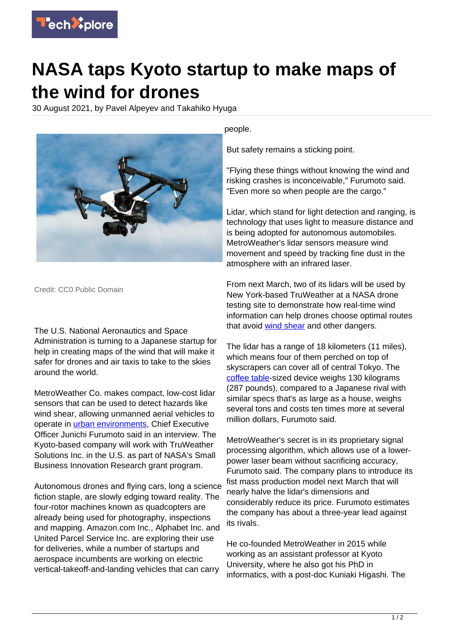

## **NASA taps Kyoto startup to make maps of the wind for drones**

30 August 2021, by Pavel Alpeyev and Takahiko Hyuga



Credit: CC0 Public Domain

The U.S. National Aeronautics and Space Administration is turning to a Japanese startup for help in creating maps of the wind that will make it safer for drones and air taxis to take to the skies around the world.

MetroWeather Co. makes compact, low-cost lidar sensors that can be used to detect hazards like wind shear, allowing unmanned aerial vehicles to operate in *urban environments*, Chief Executive Officer Junichi Furumoto said in an interview. The Kyoto-based company will work with TruWeather Solutions Inc. in the U.S. as part of NASA's Small Business Innovation Research grant program.

Autonomous drones and flying cars, long a science fiction staple, are slowly edging toward reality. The four-rotor machines known as quadcopters are already being used for photography, inspections and mapping. Amazon.com Inc., Alphabet Inc. and United Parcel Service Inc. are exploring their use for deliveries, while a number of startups and aerospace incumbents are working on electric vertical-takeoff-and-landing vehicles that can carry

people.

But safety remains a sticking point.

"Flying these things without knowing the wind and risking crashes is inconceivable," Furumoto said. "Even more so when people are the cargo."

Lidar, which stand for light detection and ranging, is technology that uses light to measure distance and is being adopted for autonomous automobiles. MetroWeather's lidar sensors measure wind movement and speed by tracking fine dust in the atmosphere with an infrared laser.

From next March, two of its lidars will be used by New York-based TruWeather at a NASA drone testing site to demonstrate how real-time wind information can help drones choose optimal routes that avoid [wind shear](https://techxplore.com/tags/wind+shear/) and other dangers.

The lidar has a range of 18 kilometers (11 miles), which means four of them perched on top of skyscrapers can cover all of central Tokyo. The [coffee table](https://techxplore.com/tags/coffee+table/)-sized device weighs 130 kilograms (287 pounds), compared to a Japanese rival with similar specs that's as large as a house, weighs several tons and costs ten times more at several million dollars, Furumoto said.

MetroWeather's secret is in its proprietary signal processing algorithm, which allows use of a lowerpower laser beam without sacrificing accuracy, Furumoto said. The company plans to introduce its fist mass production model next March that will nearly halve the lidar's dimensions and considerably reduce its price. Furumoto estimates the company has about a three-year lead against its rivals.

He co-founded MetroWeather in 2015 while working as an assistant professor at Kyoto University, where he also got his PhD in informatics, with a post-doc Kuniaki Higashi. The